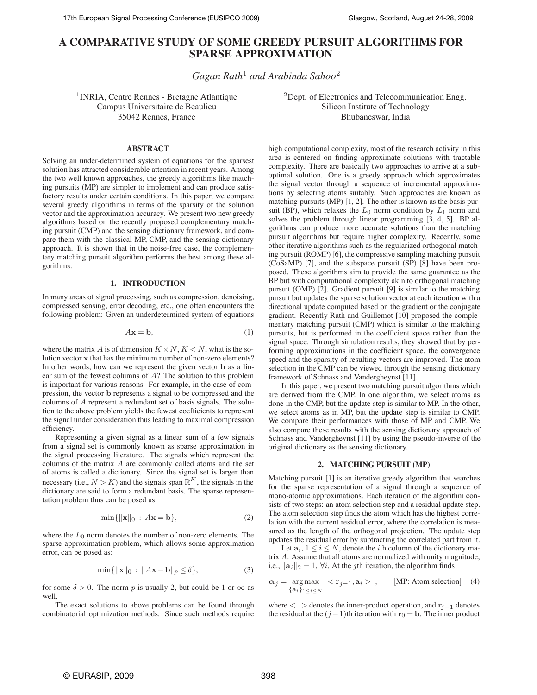# **A COMPARATIVE STUDY OF SOME GREEDY PURSUIT ALGORITHMS FOR SPARSE APPROXIMATION**

*Gagan Rath*<sup>1</sup> *and Arabinda Sahoo*<sup>2</sup>

<sup>1</sup>INRIA, Centre Rennes - Bretagne Atlantique Campus Universitaire de Beaulieu 35042 Rennes, France

<sup>2</sup>Dept. of Electronics and Telecommunication Engg. Silicon Institute of Technology Bhubaneswar, India

## **ABSTRACT**

Solving an under-determined system of equations for the sparsest solution has attracted considerable attention in recent years. Among the two well known approaches, the greedy algorithms like matching pursuits (MP) are simpler to implement and can produce satisfactory results under certain conditions. In this paper, we compare several greedy algorithms in terms of the sparsity of the solution vector and the approximation accuracy. We present two new greedy algorithms based on the recently proposed complementary matching pursuit (CMP) and the sensing dictionary framework, and compare them with the classical MP, CMP, and the sensing dictionary approach. It is shown that in the noise-free case, the complementary matching pursuit algorithm performs the best among these algorithms.

## **1. INTRODUCTION**

In many areas of signal processing, such as compression, denoising, compressed sensing, error decoding, etc., one often encounters the following problem: Given an underdetermined system of equations

$$
A\mathbf{x} = \mathbf{b},\tag{1}
$$

where the matrix A is of dimension  $K \times N$ ,  $K \le N$ , what is the solution vector x that has the minimum number of non-zero elements? In other words, how can we represent the given vector b as a linear sum of the fewest columns of A? The solution to this problem is important for various reasons. For example, in the case of compression, the vector b represents a signal to be compressed and the columns of A represent a redundant set of basis signals. The solution to the above problem yields the fewest coefficients to represent the signal under consideration thus leading to maximal compression efficiency.

Representing a given signal as a linear sum of a few signals from a signal set is commonly known as sparse approximation in the signal processing literature. The signals which represent the columns of the matrix A are commonly called atoms and the set of atoms is called a dictionary. Since the signal set is larger than necessary (i.e.,  $N > K$ ) and the signals span  $\mathbb{R}^K$ , the signals in the dictionary are said to form a redundant basis. The sparse representation problem thus can be posed as

$$
\min\{\|\mathbf{x}\|_0 : A\mathbf{x} = \mathbf{b}\},\tag{2}
$$

where the  $L_0$  norm denotes the number of non-zero elements. The sparse approximation problem, which allows some approximation error, can be posed as:

$$
\min\{\|\mathbf{x}\|_0\,:\,\|A\mathbf{x}-\mathbf{b}\|_p\leq\delta\},\tag{3}
$$

for some  $\delta > 0$ . The norm p is usually 2, but could be 1 or  $\infty$  as well.

The exact solutions to above problems can be found through combinatorial optimization methods. Since such methods require

high computational complexity, most of the research activity in this area is centered on finding approximate solutions with tractable complexity. There are basically two approaches to arrive at a suboptimal solution. One is a greedy approach which approximates the signal vector through a sequence of incremental approximations by selecting atoms suitably. Such approaches are known as matching pursuits (MP) [1, 2]. The other is known as the basis pursuit (BP), which relaxes the  $L_0$  norm condition by  $L_1$  norm and solves the problem through linear programming [3, 4, 5]. BP algorithms can produce more accurate solutions than the matching pursuit algorithms but require higher complexity. Recently, some other iterative algorithms such as the regularized orthogonal matching pursuit (ROMP) [6], the compressive sampling matching pursuit (CoSaMP) [7], and the subspace pursuit (SP) [8] have been proposed. These algorithms aim to provide the same guarantee as the BP but with computational complexity akin to orthogonal matching pursuit (OMP) [2]. Gradient pursuit [9] is similar to the matching pursuit but updates the sparse solution vector at each iteration with a directional update computed based on the gradient or the conjugate gradient. Recently Rath and Guillemot [10] proposed the complementary matching pursuit (CMP) which is similar to the matching pursuits, but is performed in the coefficient space rather than the signal space. Through simulation results, they showed that by performing approximations in the coefficient space, the convergence speed and the sparsity of resulting vectors are improved. The atom selection in the CMP can be viewed through the sensing dictionary framework of Schnass and Vandergheynst [11].

In this paper, we present two matching pursuit algorithms which are derived from the CMP. In one algorithm, we select atoms as done in the CMP, but the update step is similar to MP. In the other, we select atoms as in MP, but the update step is similar to CMP. We compare their performances with those of MP and CMP. We also compare these results with the sensing dictionary approach of Schnass and Vandergheynst [11] by using the pseudo-inverse of the original dictionary as the sensing dictionary.

#### **2. MATCHING PURSUIT (MP)**

Matching pursuit [1] is an iterative greedy algorithm that searches for the sparse representation of a signal through a sequence of mono-atomic approximations. Each iteration of the algorithm consists of two steps: an atom selection step and a residual update step. The atom selection step finds the atom which has the highest correlation with the current residual error, where the correlation is measured as the length of the orthogonal projection. The update step updates the residual error by subtracting the correlated part from it.

Let  $a_i, 1 \le i \le N$ , denote the *i*th column of the dictionary matrix A. Assume that all atoms are normalized with unity magnitude, i.e.,  $\|\mathbf{a}_i\|_2 = 1$ ,  $\forall i$ . At the *j*th iteration, the algorithm finds

$$
\alpha_j = \underset{\{\mathbf{a}_i\}_{1 \le i \le N}}{\text{arg}\max} \mid \langle \mathbf{r}_{j-1}, \mathbf{a}_i \rangle \mid, \qquad \text{[MP: Atom selection]} \quad (4)
$$

where  $\langle \cdot \rangle$  denotes the inner-product operation, and  $\mathbf{r}_{i-1}$  denotes the residual at the  $(j-1)$ th iteration with  $\mathbf{r}_0 = \mathbf{b}$ . The inner product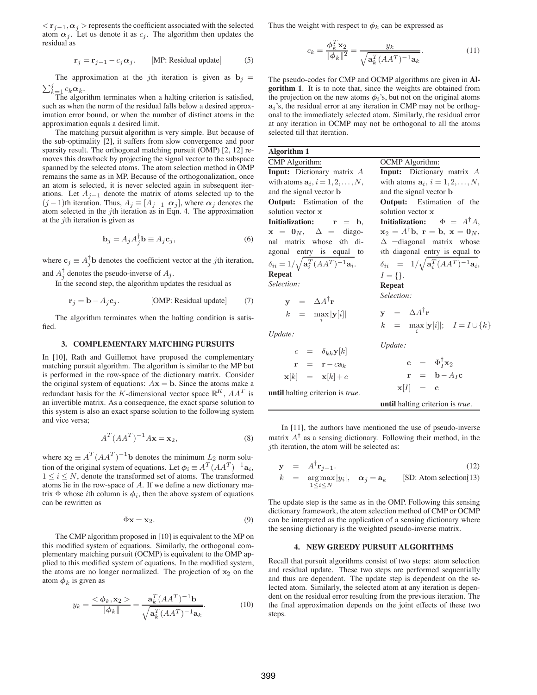$\langle \mathbf{r}_{j-1}, \alpha_j \rangle$  represents the coefficient associated with the selected atom  $\alpha_j$ . Let us denote it as  $c_j$ . The algorithm then updates the residual as

$$
\mathbf{r}_j = \mathbf{r}_{j-1} - c_j \alpha_j. \qquad \text{[MP: Residual update]} \tag{5}
$$

The approximation at the jth iteration is given as  $\mathbf{b}_j =$  $\nabla_i^j$  $c_k \alpha_k$ .

 $\prod_{n=1}^{\infty}$  algorithm terminates when a halting criterion is satisfied, such as when the norm of the residual falls below a desired approximation error bound, or when the number of distinct atoms in the approximation equals a desired limit.

The matching pursuit algorithm is very simple. But because of the sub-optimality [2], it suffers from slow convergence and poor sparsity result. The orthogonal matching pursuit (OMP) [2, 12] removes this drawback by projecting the signal vector to the subspace spanned by the selected atoms. The atom selection method in OMP remains the same as in MP. Because of the orthogonalization, once an atom is selected, it is never selected again in subsequent iterations. Let  $A_{i-1}$  denote the matrix of atoms selected up to the  $(j-1)$ th iteration. Thus,  $A_j \equiv [A_{j-1} \, \alpha_j]$ , where  $\alpha_j$  denotes the atom selected in the jth iteration as in Eqn. 4. The approximation at the  $j$ th iteration is given as

$$
\mathbf{b}_{j} = A_{j} A_{j}^{\dagger} \mathbf{b} \equiv A_{j} \mathbf{c}_{j}, \tag{6}
$$

where  $\mathbf{c}_j \equiv A_j^{\dagger} \mathbf{b}$  denotes the coefficient vector at the *j*th iteration, and  $A_j^{\dagger}$  denotes the pseudo-inverse of  $A_j$ .

In the second step, the algorithm updates the residual as

$$
\mathbf{r}_j = \mathbf{b} - A_j \mathbf{c}_j. \qquad \qquad \text{[OMP: Residual update]} \qquad (7)
$$

The algorithm terminates when the halting condition is satisfied.

#### **3. COMPLEMENTARY MATCHING PURSUITS**

In [10], Rath and Guillemot have proposed the complementary matching pursuit algorithm. The algorithm is similar to the MP but is performed in the row-space of the dictionary matrix. Consider the original system of equations:  $A\mathbf{x} = \mathbf{b}$ . Since the atoms make a redundant basis for the K-dimensional vector space  $\mathbb{R}^K$ ,  $AA^T$  is an invertible matrix. As a consequence, the exact sparse solution to this system is also an exact sparse solution to the following system and vice versa;

$$
A^T (AA^T)^{-1} A \mathbf{x} = \mathbf{x}_2,\tag{8}
$$

where  $\mathbf{x}_2 \equiv A^T (AA^T)^{-1} \mathbf{b}$  denotes the minimum  $L_2$  norm solution of the original system of equations. Let  $\phi_i \equiv A^T (A A^T)^{-1} \mathbf{a}_i$ ,  $1 \leq i \leq N$ , denote the transformed set of atoms. The transformed atoms lie in the row-space of A. If we define a new dictionary matrix  $\Phi$  whose *i*th column is  $\phi_i$ , then the above system of equations can be rewritten as

$$
\Phi \mathbf{x} = \mathbf{x}_2. \tag{9}
$$

The CMP algorithm proposed in [10] is equivalent to the MP on this modified system of equations. Similarly, the orthogonal complementary matching pursuit (OCMP) is equivalent to the OMP applied to this modified system of equations. In the modified system, the atoms are no longer normalized. The projection of  $x_2$  on the atom  $\phi_k$  is given as

$$
y_k = \frac{\langle \phi_k, \mathbf{x}_2 \rangle}{\|\phi_k\|} = \frac{\mathbf{a}_k^T (A A^T)^{-1} \mathbf{b}}{\sqrt{\mathbf{a}_k^T (A A^T)^{-1} \mathbf{a}_k}}.
$$
(10)

Thus the weight with respect to  $\phi_k$  can be expressed as

$$
c_k = \frac{\phi_k^T \mathbf{x}_2}{\|\phi_k\|^2} = \frac{y_k}{\sqrt{\mathbf{a}_k^T (AA^T)^{-1} \mathbf{a}_k}}.\tag{11}
$$

The pseudo-codes for CMP and OCMP algorithms are given in **Algorithm 1**. It is to note that, since the weights are obtained from the projection on the new atoms  $\phi_i$ 's, but not on the original atoms  $a_i$ 's, the residual error at any iteration in CMP may not be orthogonal to the immediately selected atom. Similarly, the residual error at any iteration in OCMP may not be orthogonal to all the atoms selected till that iteration.

**Algorithm 1** CMP Algorithm: **Input:** Dictionary matrix A with atoms  $\mathbf{a}_i$ ,  $i = 1, 2, \dots, N$ , and the signal vector b **Output:** Estimation of the solution vector x **Initialization:** r = b,  $x = 0_N$ ,  $\Delta =$  diagonal matrix whose ith diagonal entry is equal to  $\delta_{ii} = 1/\sqrt{{\bf a}_i^T(AA^T)^{-1}{\bf a}_i}.$ **Repeat** *Selection:*  $y = \Delta A^{\dagger}r$  $k = \max_i |\mathbf{y}[i]|$ *Update:*  $c = \delta_{kk}$ y[k]  $r = r - ca_k$  $\mathbf{x}[k] = \mathbf{x}[k] + c$ OCMP Algorithm: **Input:** Dictionary matrix A with atoms  $\mathbf{a}_i$ ,  $i = 1, 2, \dots, N$ , and the signal vector b **Output:** Estimation of the solution vector x **Initialization:**  $\Phi = A^{\dagger} A$ ,  $\mathbf{x}_2 = A^{\dagger} \mathbf{b}, \ \mathbf{r} = \mathbf{b}, \ \mathbf{x} = \mathbf{0}_N,$  $\Delta$  =diagonal matrix whose ith diagonal entry is equal to  $\delta_{ii}$  = 1/ $\sqrt{\mathbf{a}_i^T (AA^T)^{-1} \mathbf{a}_i}$ ,  $I = \{\}.$ **Repeat** *Selection:*  $y = \Delta A^{\mathsf{T}} r$  $k = \max_{i} |\mathbf{y}[i]|; \quad I = I \cup \{k\}$ *Update:*  $\mathbf{c} = \Phi_I^{\dagger} \mathbf{x}_2$  $\mathbf{r} = \mathbf{b} - A_I \mathbf{c}$  $\mathbf{x}[I] = \mathbf{c}$ 

**until** halting criterion is *true*.

**until** halting criterion is *true*.

In [11], the authors have mentioned the use of pseudo-inverse matrix  $A^{\dagger}$  as a sensing dictionary. Following their method, in the  $i$ th iteration, the atom will be selected as:

$$
\mathbf{y} = A^{\dagger} \mathbf{r}_{j-1}.
$$
 (12)

$$
k = \mathop{\arg\max}_{1 \le i \le N} |y_i|, \quad \alpha_j = \mathbf{a}_k \qquad \text{[SD: Atom selection(13)}
$$

The update step is the same as in the OMP. Following this sensing dictionary framework, the atom selection method of CMP or OCMP can be interpreted as the application of a sensing dictionary where the sensing dictionary is the weighted pseudo-inverse matrix.

## **4. NEW GREEDY PURSUIT ALGORITHMS**

Recall that pursuit algorithms consist of two steps: atom selection and residual update. These two steps are performed sequentially and thus are dependent. The update step is dependent on the selected atom. Similarly, the selected atom at any iteration is dependent on the residual error resulting from the previous iteration. The the final approximation depends on the joint effects of these two steps.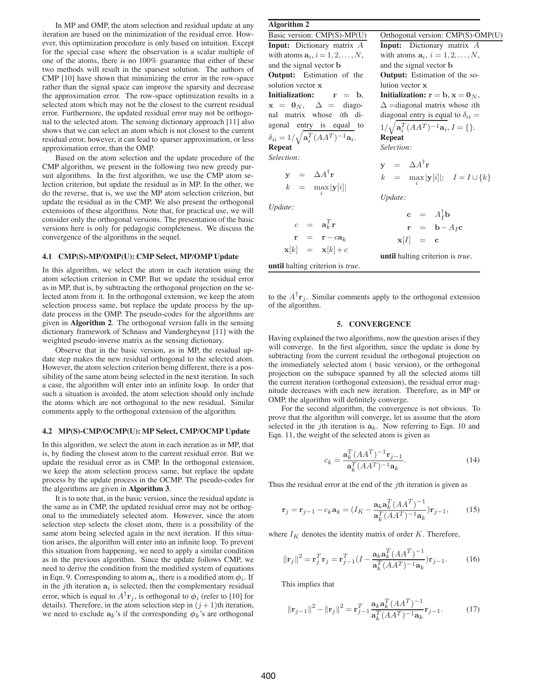In MP and OMP, the atom selection and residual update at any iteration are based on the minimization of the residual error. However, this optimization procedure is only based on intuition. Except for the special case where the observation is a scalar multiple of one of the atoms, there is no 100% guarantee that either of these two methods will result in the sparsest solution. The authors of CMP [10] have shown that minimizing the error in the row-space rather than the signal space can improve the sparsity and decrease the approximation error. The row-space optimization results in a selected atom which may not be the closest to the current residual error. Furthermore, the updated residual error may not be orthogonal to the selected atom. The sensing dictionary approach [11] also shows that we can select an atom which is not closest to the current residual error, however, it can lead to sparser approximation, or less approximation error, than the OMP.

Based on the atom selection and the update procedure of the CMP algorithm, we present in the following two new greedy pursuit algorithms. In the first algorithm, we use the CMP atom selection criterion, but update the residual as in MP. In the other, we do the reverse, that is, we use the MP atom selection criterion, but update the residual as in the CMP. We also present the orthogonal extensions of these algorithms. Note that, for practical use, we will consider only the orthogonal versions. The presentation of the basic versions here is only for pedagogic completeness. We discuss the convergence of the algorithms in the sequel.

## **4.1 CMP(S)-MP/OMP(U): CMP Select, MP/OMP Update**

In this algorithm, we select the atom in each iteration using the atom selection criterion in CMP. But we update the residual error as in MP, that is, by subtracting the orthogonal projection on the selected atom from it. In the orthogonal extension, we keep the atom selection process same, but replace the update process by the update process in the OMP. The pseudo-codes for the algorithms are given in **Algorithm 2**. The orthogonal version falls in the sensing dictionary framework of Schnass and Vandergheynst [11] with the weighted pseudo-inverse matrix as the sensing dictionary.

Observe that in the basic version, as in MP, the residual update step makes the new residual orthogonal to the selected atom. However, the atom selection criterion being different, there is a possibility of the same atom being selected in the next iteration. In such a case, the algorithm will enter into an infinite loop. In order that such a situation is avoided, the atom selection should only include the atoms which are not orthogonal to the new residual. Similar comments apply to the orthogonal extension of the algorithm.

#### **4.2 MP(S)-CMP/OCMP(U): MP Select, CMP/OCMP Update**

In this algorithm, we select the atom in each iteration as in MP, that is, by finding the closest atom to the current residual error. But we update the residual error as in CMP. In the orthogonal extension, we keep the atom selection process same, but replace the update process by the update process in the OCMP. The pseudo-codes for the algorithms are given in **Algorithm 3**.

It is to note that, in the basic version, since the residual update is the same as in CMP, the updated residual error may not be orthogonal to the immediately selected atom. However, since the atom selection step selects the closet atom, there is a possibility of the same atom being selected again in the next iteration. If this situation arises, the algorithm will enter into an infinite loop. To prevent this situation from happening, we need to apply a similar condition as in the previous algorithm. Since the update follows CMP, we need to derive the condition from the modified system of equations in Eqn. 9. Corresponding to atom  $a_i$ , there is a modified atom  $\phi_i$ . If in the jth iteration  $a_i$  is selected, then the complementary residual error, which is equal to  $A^{\dagger}r_j$ , is orthogonal to  $\phi_i$  (refer to [10] for details). Therefore, in the atom selection step in  $(j + 1)$ th iteration, we need to exclude  $a_k$ 's if the corresponding  $\phi_k$ 's are orthogonal

# **Algorithm 2**

| Orthogonal version: CMP(S)-OMP(U)                                                                                        |  |  |
|--------------------------------------------------------------------------------------------------------------------------|--|--|
| Input: Dictionary matrix A                                                                                               |  |  |
| with atoms $\mathbf{a}_i$ , $i = 1, 2, \dots, N$ ,                                                                       |  |  |
| and the signal vector <b>b</b>                                                                                           |  |  |
| <b>Output:</b> Estimation of the so-                                                                                     |  |  |
| lution vector x                                                                                                          |  |  |
| <b>Initialization:</b> $r = b$ , $x = 0N$ ,                                                                              |  |  |
| $\Delta$ =diagonal matrix whose <i>i</i> th                                                                              |  |  |
| diagonal entry is equal to $\delta_{ii} =$                                                                               |  |  |
| $1/\sqrt{\mathbf{a}_i^T (A A^T)^{-1} \mathbf{a}_i}, I = \{\}.$                                                           |  |  |
| <b>Repeat</b>                                                                                                            |  |  |
| Selection:                                                                                                               |  |  |
|                                                                                                                          |  |  |
| $y = \Delta A^{\dagger} r$                                                                                               |  |  |
| $k = \max_{i}  \mathbf{y}[i] ; \quad I = I \cup \{k\}$                                                                   |  |  |
|                                                                                                                          |  |  |
| Update:                                                                                                                  |  |  |
|                                                                                                                          |  |  |
| $\begin{array}{rcl} \mathbf{c} & = & A_I^\dagger \mathbf{b} \\ \mathbf{r} & = & \mathbf{b} - A_I \mathbf{c} \end{array}$ |  |  |
|                                                                                                                          |  |  |
|                                                                                                                          |  |  |

$$
\mathbf{r} = \mathbf{b} - A_I \mathbf{c}
$$
\n
$$
\mathbf{r} = \mathbf{r} - a_k \qquad \qquad \mathbf{x}[I] = \mathbf{c}
$$
\n
$$
\mathbf{x}[k] = \mathbf{x}[k] + c \qquad \qquad \text{until halting criterion is true.}
$$

to the  $A^{\mathsf{T}}\mathbf{r}_j$ . Similar comments apply to the orthogonal extension of the algorithm.

#### **5. CONVERGENCE**

Having explained the two algorithms, now the question arises if they will converge. In the first algorithm, since the update is done by subtracting from the current residual the orthogonal projection on the immediately selected atom ( basic version), or the orthogonal projection on the subspace spanned by all the selected atoms till the current iteration (orthogonal extension), the residual error magnitude decreases with each new iteration. Therefore, as in MP or OMP, the algorithm will definitely converge.

For the second algorithm, the convergence is not obvious. To prove that the algorithm will converge, let us assume that the atom selected in the jth iteration is  $a_k$ . Now referring to Eqn. 10 and Eqn. 11, the weight of the selected atom is given as

$$
c_k = \frac{\mathbf{a}_k^T (AA^T)^{-1} \mathbf{r}_{j-1}}{\mathbf{a}_k^T (AA^T)^{-1} \mathbf{a}_k}.
$$
 (14)

Thus the residual error at the end of the  $j$ th iteration is given as

$$
\mathbf{r}_{j} = \mathbf{r}_{j-1} - c_{k} \mathbf{a}_{k} = (I_{K} - \frac{\mathbf{a}_{k} \mathbf{a}_{k}^{T} (A A^{T})^{-1}}{\mathbf{a}_{k}^{T} (A A^{T})^{-1} \mathbf{a}_{k}}) \mathbf{r}_{j-1},
$$
(15)

where  $I_K$  denotes the identity matrix of order K. Therefore,

$$
\|\mathbf{r}_{j}\|^{2} = \mathbf{r}_{j}^{T}\mathbf{r}_{j} = \mathbf{r}_{j-1}^{T}(I - \frac{\mathbf{a}_{k}\mathbf{a}_{k}^{T}(AA^{T})^{-1}}{\mathbf{a}_{k}^{T}(AA^{T})^{-1}\mathbf{a}_{k}})\mathbf{r}_{j-1}.
$$
 (16)

This implies that

$$
\|\mathbf{r}_{j-1}\|^2 - \|\mathbf{r}_j\|^2 = \mathbf{r}_{j-1}^T \frac{\mathbf{a}_k \mathbf{a}_k^T (AA^T)^{-1}}{\mathbf{a}_k^T (AA^T)^{-1} \mathbf{a}_k} \mathbf{r}_{j-1}.
$$
 (17)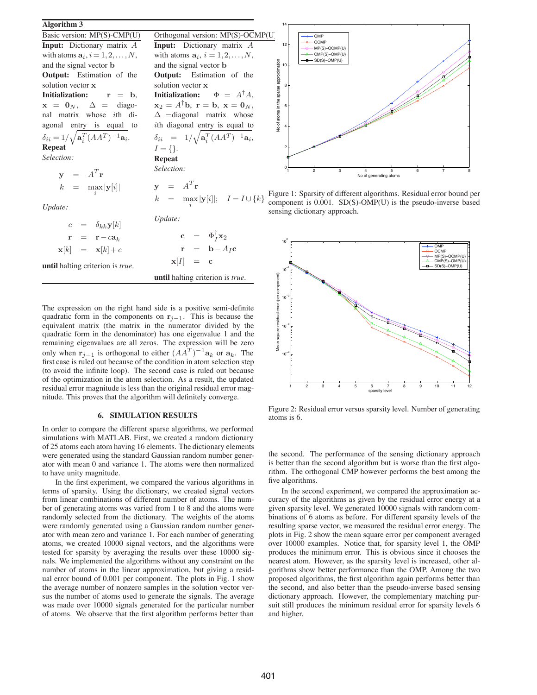## **Algorithm 3**

Basic version: MP(S)-CMP(U) **Input:** Dictionary matrix A with atoms  $\mathbf{a}_i$ ,  $i = 1, 2, \dots, N$ , and the signal vector b **Output:** Estimation of the solution vector x **Initialization:** r = b,  $x = 0_N$ ,  $\Delta =$  diagonal matrix whose ith diagonal entry is equal to  $\delta_{ii} = 1/\sqrt{{\bf a}_i^T(AA^T)^{-1}{\bf a}_i}.$ **Repeat** *Selection:*  $y = A^T r$ 

$$
k = \max_{i} |\mathbf{y}[i]|
$$

*Update:*

|  |  | $c = \delta_{kk} \mathbf{y}[k]$                 | Update:                       |                                              |
|--|--|-------------------------------------------------|-------------------------------|----------------------------------------------|
|  |  | $\mathbf{r} = \mathbf{r} - c\mathbf{a}_k$       |                               | $\mathbf{c} = \Phi_I^{\dagger} \mathbf{x}_2$ |
|  |  | $\mathbf{x}[k] = \mathbf{x}[k] + c$             |                               | $\mathbf{r} = \mathbf{b} - A_I \mathbf{c}$   |
|  |  | <b>until</b> halting criterion is <i>true</i> . | $\mathbf{x}[I] = \mathbf{c}$  |                                              |
|  |  |                                                 | until halting criterion is tr |                                              |

**Input:** Dictionary matrix A with atoms  $\mathbf{a}_i$ ,  $i = 1, 2, \dots, N$ , and the signal vector b **Output:** Estimation of the

**Initialization:**  $\Phi = A^{\dagger} A$ ,  $\mathbf{x}_2 = A^{\dagger} \mathbf{b}, \ \mathbf{r} = \mathbf{b}, \ \mathbf{x} = \mathbf{0}_N,$  $\Delta$  =diagonal matrix whose ith diagonal entry is equal to  $\delta_{ii}$  = 1/ $\sqrt{\mathbf{a}_i^T (AA^T)^{-1} \mathbf{a}_i}$ ,

true.

solution vector x

 $I = \{\}.$ **Repeat** *Selection:*

 $y = A^T r$ 

The expression on the right hand side is a positive semi-definite quadratic form in the components on  $r_{i-1}$ . This is because the equivalent matrix (the matrix in the numerator divided by the quadratic form in the denominator) has one eigenvalue 1 and the remaining eigenvalues are all zeros. The expression will be zero only when  $\mathbf{r}_{j-1}$  is orthogonal to either  $(AA^T)^{-1}\mathbf{a}_k$  or  $\mathbf{a}_k$ . The first case is ruled out because of the condition in atom selection step (to avoid the infinite loop). The second case is ruled out because of the optimization in the atom selection. As a result, the updated residual error magnitude is less than the original residual error magnitude. This proves that the algorithm will definitely converge.

## **6. SIMULATION RESULTS**

In order to compare the different sparse algorithms, we performed simulations with MATLAB. First, we created a random dictionary of 25 atoms each atom having 16 elements. The dictionary elements were generated using the standard Gaussian random number generator with mean 0 and variance 1. The atoms were then normalized to have unity magnitude.

In the first experiment, we compared the various algorithms in terms of sparsity. Using the dictionary, we created signal vectors from linear combinations of different number of atoms. The number of generating atoms was varied from 1 to 8 and the atoms were randomly selected from the dictionary. The weights of the atoms were randomly generated using a Gaussian random number generator with mean zero and variance 1. For each number of generating atoms, we created 10000 signal vectors, and the algorithms were tested for sparsity by averaging the results over these 10000 signals. We implemented the algorithms without any constraint on the number of atoms in the linear approximation, but giving a residual error bound of 0.001 per component. The plots in Fig. 1 show the average number of nonzero samples in the solution vector versus the number of atoms used to generate the signals. The average was made over 10000 signals generated for the particular number of atoms. We observe that the first algorithm performs better than



 $k = \max_{i} |\mathbf{y}[i]|; \quad I = I \cup \{k\}$ Figure 1: Sparsity of different algorithms. Residual error bound per component is 0.001. SD(S)-OMP(U) is the pseudo-inverse based sensing dictionary approach.



Figure 2: Residual error versus sparsity level. Number of generating atoms is 6.

the second. The performance of the sensing dictionary approach is better than the second algorithm but is worse than the first algorithm. The orthogonal CMP however performs the best among the five algorithms.

In the second experiment, we compared the approximation accuracy of the algorithms as given by the residual error energy at a given sparsity level. We generated 10000 signals with random combinations of 6 atoms as before. For different sparsity levels of the resulting sparse vector, we measured the residual error energy. The plots in Fig. 2 show the mean square error per component averaged over 10000 examples. Notice that, for sparsity level 1, the OMP produces the minimum error. This is obvious since it chooses the nearest atom. However, as the sparsity level is increased, other algorithms show better performance than the OMP. Among the two proposed algorithms, the first algorithm again performs better than the second, and also better than the pseudo-inverse based sensing dictionary approach. However, the complementary matching pursuit still produces the minimum residual error for sparsity levels 6 and higher.